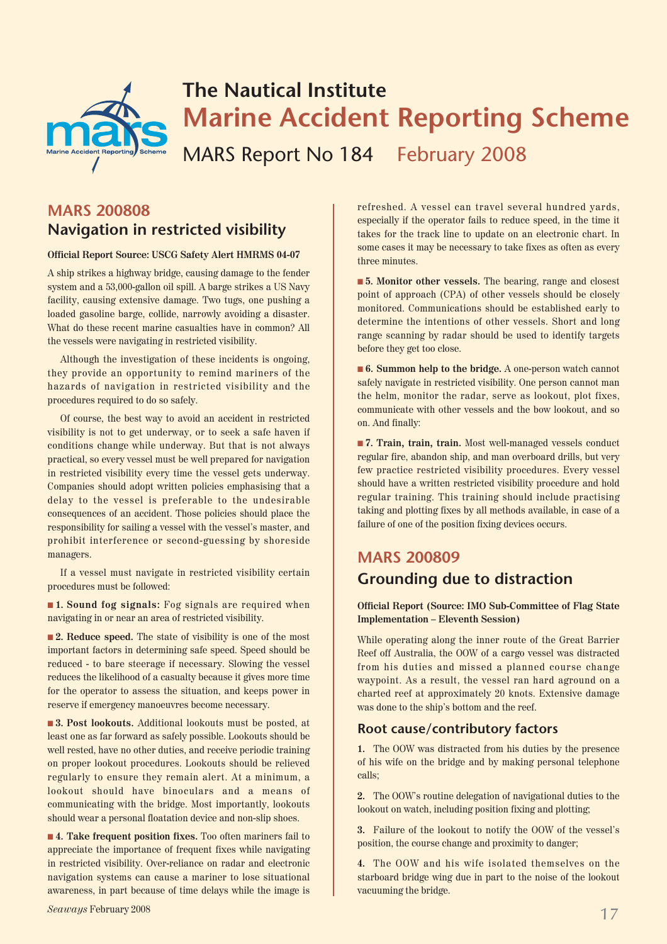

## **The Nautical Institute Marine Accident Reporting Scheme**

MARS Report No 184 February 2008

## **MARS 200808 Navigation in restricted visibility**

#### **Official Report Source: USCG Safety Alert HMRMS 04-07**

A ship strikes a highway bridge, causing damage to the fender system and a 53,000-gallon oil spill. A barge strikes a US Navy facility, causing extensive damage. Two tugs, one pushing a loaded gasoline barge, collide, narrowly avoiding a disaster. What do these recent marine casualties have in common? All the vessels were navigating in restricted visibility.

Although the investigation of these incidents is ongoing, they provide an opportunity to remind mariners of the hazards of navigation in restricted visibility and the procedures required to do so safely.

Of course, the best way to avoid an accident in restricted visibility is not to get underway, or to seek a safe haven if conditions change while underway. But that is not always practical, so every vessel must be well prepared for navigation in restricted visibility every time the vessel gets underway. Companies should adopt written policies emphasising that a delay to the vessel is preferable to the undesirable consequences of an accident. Those policies should place the responsibility for sailing a vessel with the vessel's master, and prohibit interference or second-guessing by shoreside managers.

If a vessel must navigate in restricted visibility certain procedures must be followed:

■ 1. Sound fog signals: Fog signals are required when navigating in or near an area of restricted visibility.

■ **2. Reduce speed.** The state of visibility is one of the most important factors in determining safe speed. Speed should be reduced - to bare steerage if necessary. Slowing the vessel reduces the likelihood of a casualty because it gives more time for the operator to assess the situation, and keeps power in reserve if emergency manoeuvres become necessary.

■ **3. Post lookouts.** Additional lookouts must be posted, at least one as far forward as safely possible. Lookouts should be well rested, have no other duties, and receive periodic training on proper lookout procedures. Lookouts should be relieved regularly to ensure they remain alert. At a minimum, a lookout should have binoculars and a means of communicating with the bridge. Most importantly, lookouts should wear a personal floatation device and non-slip shoes.

■ **4. Take frequent position fixes.** Too often mariners fail to appreciate the importance of frequent fixes while navigating in restricted visibility. Over-reliance on radar and electronic navigation systems can cause a mariner to lose situational awareness, in part because of time delays while the image is refreshed. A vessel can travel several hundred yards, especially if the operator fails to reduce speed, in the time it takes for the track line to update on an electronic chart. In some cases it may be necessary to take fixes as often as every three minutes.

■ **5. Monitor other vessels.** The bearing, range and closest point of approach (CPA) of other vessels should be closely monitored. Communications should be established early to determine the intentions of other vessels. Short and long range scanning by radar should be used to identify targets before they get too close.

■ **6. Summon help to the bridge.** A one-person watch cannot safely navigate in restricted visibility. One person cannot man the helm, monitor the radar, serve as lookout, plot fixes, communicate with other vessels and the bow lookout, and so on. And finally:

■ **7. Train, train, train.** Most well-managed vessels conduct regular fire, abandon ship, and man overboard drills, but very few practice restricted visibility procedures. Every vessel should have a written restricted visibility procedure and hold regular training. This training should include practising taking and plotting fixes by all methods available, in case of a failure of one of the position fixing devices occurs.

## **MARS 200809 Grounding due to distraction**

#### **Official Report (Source: IMO Sub-Committee of Flag State Implementation – Eleventh Session)**

While operating along the inner route of the Great Barrier Reef off Australia, the OOW of a cargo vessel was distracted from his duties and missed a planned course change waypoint. As a result, the vessel ran hard aground on a charted reef at approximately 20 knots. Extensive damage was done to the ship's bottom and the reef.

#### **Root cause/contributory factors**

**1.** The OOW was distracted from his duties by the presence of his wife on the bridge and by making personal telephone calls;

**2.** The OOW's routine delegation of navigational duties to the lookout on watch, including position fixing and plotting;

**3.** Failure of the lookout to notify the OOW of the vessel's position, the course change and proximity to danger;

**4.** The OOW and his wife isolated themselves on the starboard bridge wing due in part to the noise of the lookout vacuuming the bridge.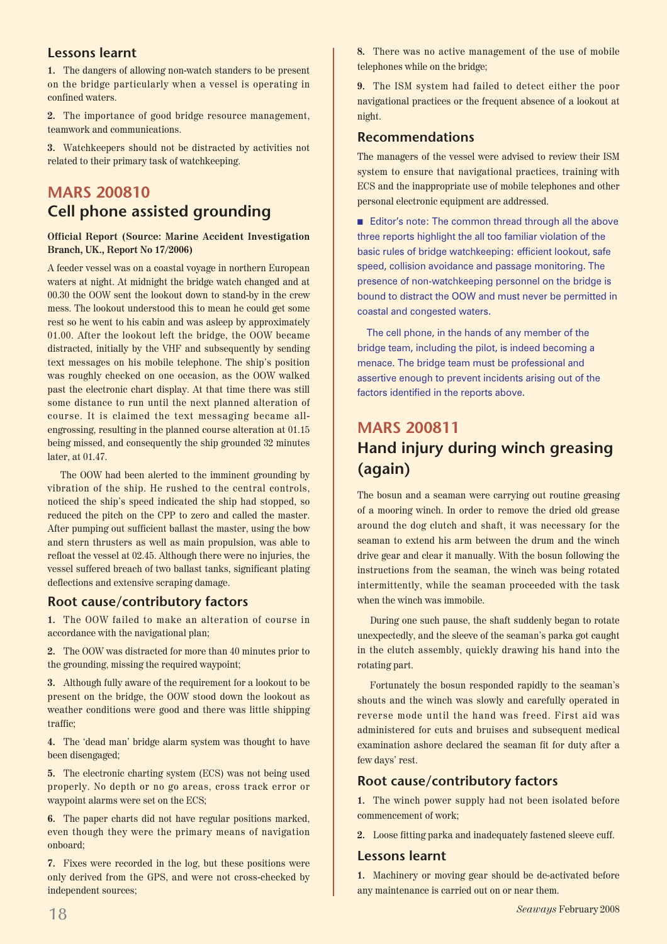#### **Lessons learnt**

**1.** The dangers of allowing non-watch standers to be present on the bridge particularly when a vessel is operating in confined waters.

**2.** The importance of good bridge resource management, teamwork and communications.

**3.** Watchkeepers should not be distracted by activities not related to their primary task of watchkeeping.

## **MARS 200810 Cell phone assisted grounding**

#### **Official Report (Source: Marine Accident Investigation Branch, UK., Report No 17/2006)**

A feeder vessel was on a coastal voyage in northern European waters at night. At midnight the bridge watch changed and at 00.30 the OOW sent the lookout down to stand-by in the crew mess. The lookout understood this to mean he could get some rest so he went to his cabin and was asleep by approximately 01.00. After the lookout left the bridge, the OOW became distracted, initially by the VHF and subsequently by sending text messages on his mobile telephone. The ship's position was roughly checked on one occasion, as the OOW walked past the electronic chart display. At that time there was still some distance to run until the next planned alteration of course. It is claimed the text messaging became allengrossing, resulting in the planned course alteration at 01.15 being missed, and consequently the ship grounded 32 minutes later, at 01.47.

The OOW had been alerted to the imminent grounding by vibration of the ship. He rushed to the central controls, noticed the ship's speed indicated the ship had stopped, so reduced the pitch on the CPP to zero and called the master. After pumping out sufficient ballast the master, using the bow and stern thrusters as well as main propulsion, was able to refloat the vessel at 02.45. Although there were no injuries, the vessel suffered breach of two ballast tanks, significant plating deflections and extensive scraping damage.

#### **Root cause/contributory factors**

**1.** The OOW failed to make an alteration of course in accordance with the navigational plan;

**2.** The OOW was distracted for more than 40 minutes prior to the grounding, missing the required waypoint;

**3.** Although fully aware of the requirement for a lookout to be present on the bridge, the OOW stood down the lookout as weather conditions were good and there was little shipping traffic;

**4.** The 'dead man' bridge alarm system was thought to have been disengaged;

**5.** The electronic charting system (ECS) was not being used properly. No depth or no go areas, cross track error or waypoint alarms were set on the ECS;

**6.** The paper charts did not have regular positions marked, even though they were the primary means of navigation onboard;

**7.** Fixes were recorded in the log, but these positions were only derived from the GPS, and were not cross-checked by independent sources;

**8.** There was no active management of the use of mobile telephones while on the bridge;

**9.** The ISM system had failed to detect either the poor navigational practices or the frequent absence of a lookout at night.

#### **Recommendations**

The managers of the vessel were advised to review their ISM system to ensure that navigational practices, training with ECS and the inappropriate use of mobile telephones and other personal electronic equipment are addressed.

■ Editor's note: The common thread through all the above three reports highlight the all too familiar violation of the basic rules of bridge watchkeeping: efficient lookout, safe speed, collision avoidance and passage monitoring. The presence of non-watchkeeping personnel on the bridge is bound to distract the OOW and must never be permitted in coastal and congested waters.

The cell phone, in the hands of any member of the bridge team, including the pilot, is indeed becoming a menace. The bridge team must be professional and assertive enough to prevent incidents arising out of the factors identified in the reports above.

## **MARS 200811 Hand injury during winch greasing (again)**

The bosun and a seaman were carrying out routine greasing of a mooring winch. In order to remove the dried old grease around the dog clutch and shaft, it was necessary for the seaman to extend his arm between the drum and the winch drive gear and clear it manually. With the bosun following the instructions from the seaman, the winch was being rotated intermittently, while the seaman proceeded with the task when the winch was immobile.

During one such pause, the shaft suddenly began to rotate unexpectedly, and the sleeve of the seaman's parka got caught in the clutch assembly, quickly drawing his hand into the rotating part.

Fortunately the bosun responded rapidly to the seaman's shouts and the winch was slowly and carefully operated in reverse mode until the hand was freed. First aid was administered for cuts and bruises and subsequent medical examination ashore declared the seaman fit for duty after a few days' rest.

#### **Root cause/contributory factors**

**1.** The winch power supply had not been isolated before commencement of work;

**2.** Loose fitting parka and inadequately fastened sleeve cuff.

#### **Lessons learnt**

**1.** Machinery or moving gear should be de-activated before any maintenance is carried out on or near them.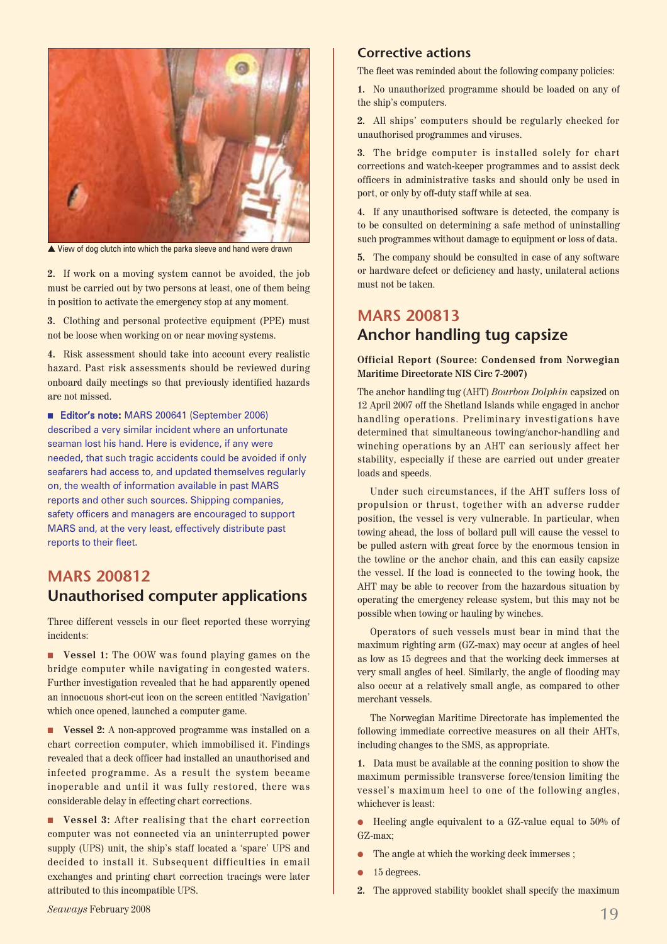

▲ View of dog clutch into which the parka sleeve and hand were drawn

**2.** If work on a moving system cannot be avoided, the job must be carried out by two persons at least, one of them being in position to activate the emergency stop at any moment.

**3.** Clothing and personal protective equipment (PPE) must not be loose when working on or near moving systems.

**4.** Risk assessment should take into account every realistic hazard. Past risk assessments should be reviewed during onboard daily meetings so that previously identified hazards are not missed.

■ Editor's note: MARS 200641 (September 2006) described a very similar incident where an unfortunate seaman lost his hand. Here is evidence, if any were needed, that such tragic accidents could be avoided if only seafarers had access to, and updated themselves regularly on, the wealth of information available in past MARS reports and other such sources. Shipping companies, safety officers and managers are encouraged to support MARS and, at the very least, effectively distribute past reports to their fleet.

### **MARS 200812 Unauthorised computer applications**

Three different vessels in our fleet reported these worrying incidents:

■ **Vessel 1:** The OOW was found playing games on the bridge computer while navigating in congested waters. Further investigation revealed that he had apparently opened an innocuous short-cut icon on the screen entitled 'Navigation' which once opened, launched a computer game.

■ **Vessel 2:** A non-approved programme was installed on a chart correction computer, which immobilised it. Findings revealed that a deck officer had installed an unauthorised and infected programme. As a result the system became inoperable and until it was fully restored, there was considerable delay in effecting chart corrections.

■ **Vessel 3:** After realising that the chart correction computer was not connected via an uninterrupted power supply (UPS) unit, the ship's staff located a 'spare' UPS and decided to install it. Subsequent difficulties in email exchanges and printing chart correction tracings were later attributed to this incompatible UPS.

#### **Corrective actions**

The fleet was reminded about the following company policies:

**1.** No unauthorized programme should be loaded on any of the ship's computers.

**2.** All ships' computers should be regularly checked for unauthorised programmes and viruses.

**3.** The bridge computer is installed solely for chart corrections and watch-keeper programmes and to assist deck officers in administrative tasks and should only be used in port, or only by off-duty staff while at sea.

**4.** If any unauthorised software is detected, the company is to be consulted on determining a safe method of uninstalling such programmes without damage to equipment or loss of data.

**5.** The company should be consulted in case of any software or hardware defect or deficiency and hasty, unilateral actions must not be taken.

## **MARS 200813 Anchor handling tug capsize**

**Official Report (Source: Condensed from Norwegian Maritime Directorate NIS Circ 7-2007)** 

The anchor handling tug (AHT) *Bourbon Dolphin* capsized on 12 April 2007 off the Shetland Islands while engaged in anchor handling operations. Preliminary investigations have determined that simultaneous towing/anchor-handling and winching operations by an AHT can seriously affect her stability, especially if these are carried out under greater loads and speeds.

Under such circumstances, if the AHT suffers loss of propulsion or thrust, together with an adverse rudder position, the vessel is very vulnerable. In particular, when towing ahead, the loss of bollard pull will cause the vessel to be pulled astern with great force by the enormous tension in the towline or the anchor chain, and this can easily capsize the vessel. If the load is connected to the towing hook, the AHT may be able to recover from the hazardous situation by operating the emergency release system, but this may not be possible when towing or hauling by winches.

Operators of such vessels must bear in mind that the maximum righting arm (GZ-max) may occur at angles of heel as low as 15 degrees and that the working deck immerses at very small angles of heel. Similarly, the angle of flooding may also occur at a relatively small angle, as compared to other merchant vessels.

The Norwegian Maritime Directorate has implemented the following immediate corrective measures on all their AHTs, including changes to the SMS, as appropriate.

**1.** Data must be available at the conning position to show the maximum permissible transverse force/tension limiting the vessel's maximum heel to one of the following angles, whichever is least:

● Heeling angle equivalent to a GZ-value equal to 50% of GZ-max;

- The angle at which the working deck immerses ;
- 15 degrees.
- **2.** The approved stability booklet shall specify the maximum